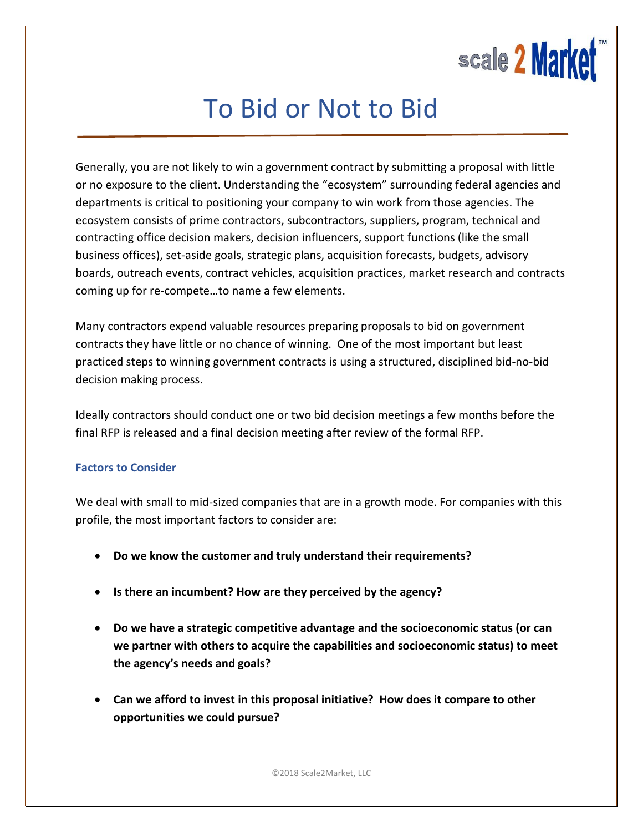

## To Bid or Not to Bid

Generally, you are not likely to win a government contract by submitting a proposal with little or no exposure to the client. Understanding the "ecosystem" surrounding federal agencies and departments is critical to positioning your company to win work from those agencies. The ecosystem consists of prime contractors, subcontractors, suppliers, program, technical and contracting office decision makers, decision influencers, support functions (like the small business offices), set-aside goals, strategic plans, acquisition forecasts, budgets, advisory boards, outreach events, contract vehicles, acquisition practices, market research and contracts coming up for re-compete…to name a few elements.

Many contractors expend valuable resources preparing proposals to bid on government contracts they have little or no chance of winning. One of the most important but least practiced steps to winning government contracts is using a structured, disciplined bid-no-bid decision making process.

Ideally contractors should conduct one or two bid decision meetings a few months before the final RFP is released and a final decision meeting after review of the formal RFP.

## **Factors to Consider**

We deal with small to mid-sized companies that are in a growth mode. For companies with this profile, the most important factors to consider are:

- **Do we know the customer and truly understand their requirements?**
- **Is there an incumbent? How are they perceived by the agency?**
- **Do we have a strategic competitive advantage and the socioeconomic status (or can we partner with others to acquire the capabilities and socioeconomic status) to meet the agency's needs and goals?**
- **Can we afford to invest in this proposal initiative? How does it compare to other opportunities we could pursue?**

©2018 Scale2Market, LLC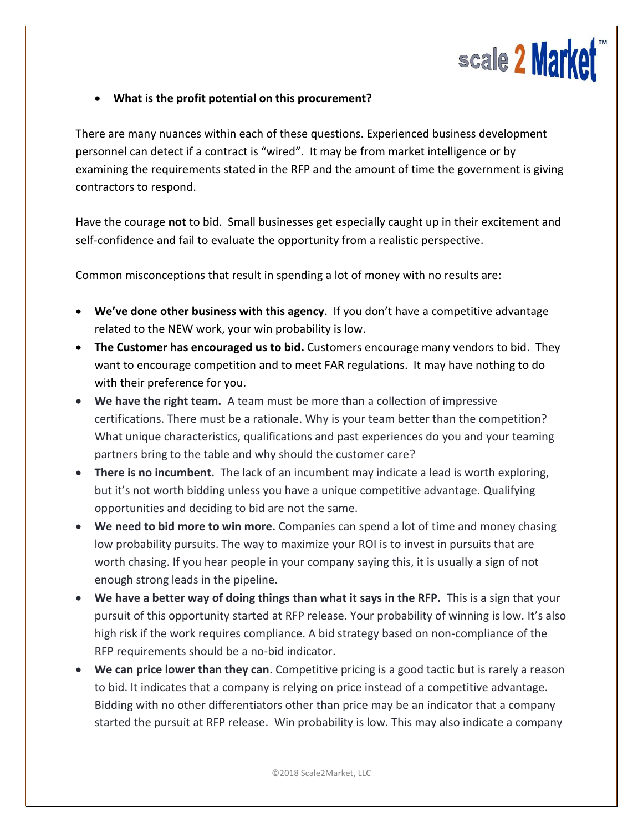

## **What is the profit potential on this procurement?**

There are many nuances within each of these questions. Experienced business development personnel can detect if a contract is "wired". It may be from market intelligence or by examining the requirements stated in the RFP and the amount of time the government is giving contractors to respond.

Have the courage **not** to bid. Small businesses get especially caught up in their excitement and self-confidence and fail to evaluate the opportunity from a realistic perspective.

Common misconceptions that result in spending a lot of money with no results are:

- **We've done other business with this agency**. If you don't have a competitive advantage related to the NEW work, your win probability is low.
- **The Customer has encouraged us to bid.** Customers encourage many vendors to bid. They want to encourage competition and to meet FAR regulations. It may have nothing to do with their preference for you.
- **We have the right team.** A team must be more than a collection of impressive certifications. There must be a rationale. Why is your team better than the competition? What unique characteristics, qualifications and past experiences do you and your teaming partners bring to the table and why should the customer care?
- **There is no incumbent.** The lack of an incumbent may indicate a lead is worth exploring, but it's not worth bidding unless you have a unique competitive advantage. Qualifying opportunities and deciding to bid are not the same.
- **We need to bid more to win more.** Companies can spend a lot of time and money chasing low probability pursuits. The way to maximize your ROI is to invest in pursuits that are worth chasing. If you hear people in your company saying this, it is usually a sign of not enough strong leads in the pipeline.
- **We have a better way of doing things than what it says in the RFP.** This is a sign that your pursuit of this opportunity started at RFP release. Your probability of winning is low. It's also high risk if the work requires compliance. A bid strategy based on non-compliance of the RFP requirements should be a no-bid indicator.
- **We can price lower than they can**. Competitive pricing is a good tactic but is rarely a reason to bid. It indicates that a company is relying on price instead of a competitive advantage. Bidding with no other differentiators other than price may be an indicator that a company started the pursuit at RFP release. Win probability is low. This may also indicate a company